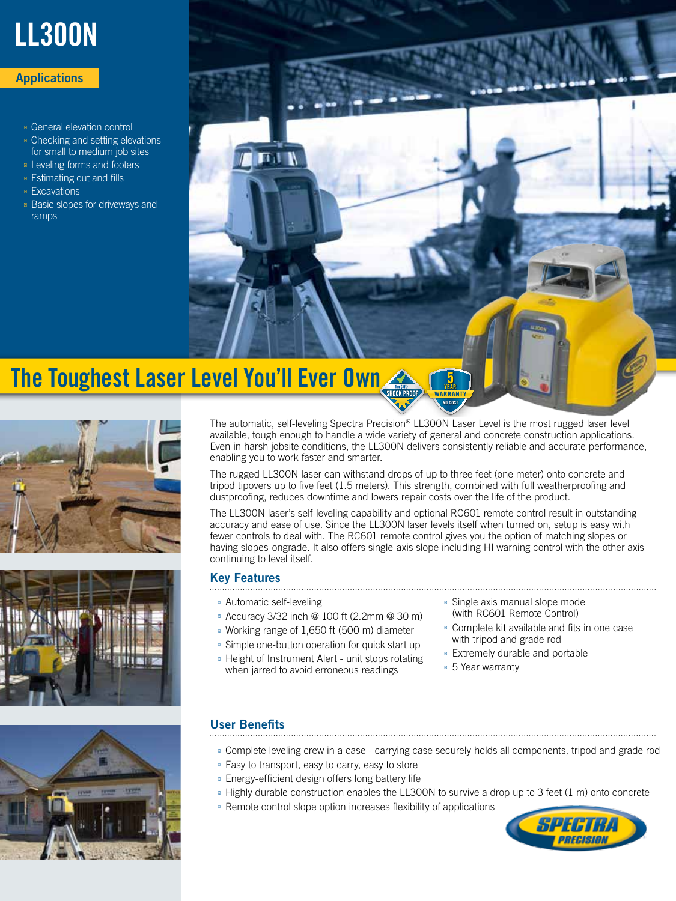

# **Applications**

General elevation control Checking and setting elevations for small to medium job sites Leveling forms and footers Estimating cut and fills **Excavations** Basic slopes for driveways and ramps



# The Toughest Laser Level You'll Ever Own







The automatic, self-leveling Spectra Precision® LL300N Laser Level is the most rugged laser level available, tough enough to handle a wide variety of general and concrete construction applications. Even in harsh jobsite conditions, the LL300N delivers consistently reliable and accurate performance, enabling you to work faster and smarter.

The rugged LL300N laser can withstand drops of up to three feet (one meter) onto concrete and tripod tipovers up to five feet (1.5 meters). This strength, combined with full weatherproofing and dustproofing, reduces downtime and lowers repair costs over the life of the product.

The LL300N laser's self-leveling capability and optional RC601 remote control result in outstanding accuracy and ease of use. Since the LL300N laser levels itself when turned on, setup is easy with fewer controls to deal with. The RC601 remote control gives you the option of matching slopes or having slopes-ongrade. It also offers single-axis slope including HI warning control with the other axis continuing to level itself.

### Key Features

Automatic self-leveling

Accuracy 3/32 inch @ 100 ft (2.2mm @ 30 m) Working range of 1,650 ft (500 m) diameter

Simple one-button operation for quick start up Height of Instrument Alert - unit stops rotating when jarred to avoid erroneous readings

Single axis manual slope mode (with RC601 Remote Control) Complete kit available and fits in one case with tripod and grade rod Extremely durable and portable 5 Year warranty

# User Benefits

Complete leveling crew in a case - carrying case securely holds all components, tripod and grade rod Easy to transport, easy to carry, easy to store

Energy-efficient design offers long battery life

Highly durable construction enables the LL300N to survive a drop up to 3 feet (1 m) onto concrete Remote control slope option increases flexibility of applications